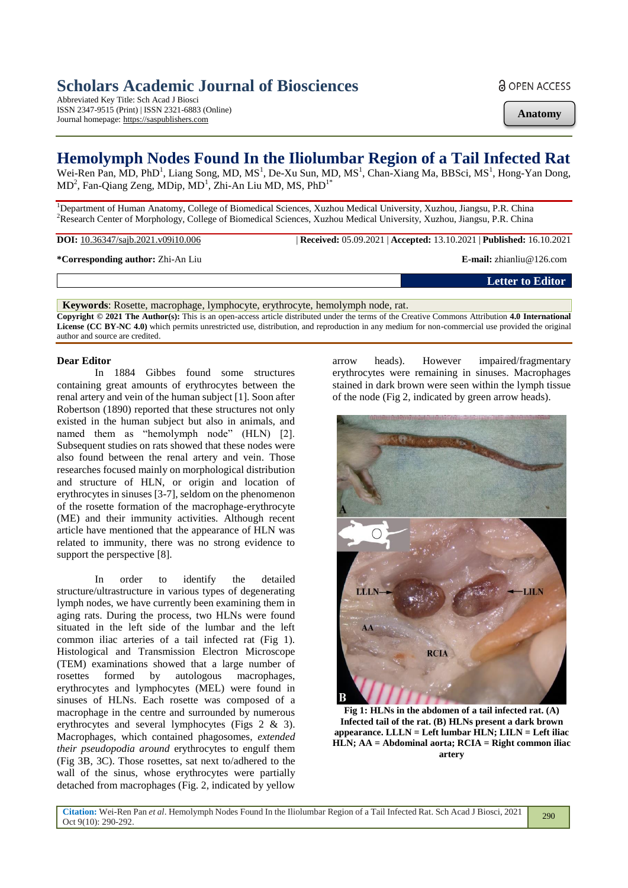# **Scholars Academic Journal of Biosciences**

Abbreviated Key Title: Sch Acad J Biosci ISSN 2347-9515 (Print) | ISSN 2321-6883 (Online) Journal homepage: https://saspublishers.com

**a** OPEN ACCESS

**Anatomy**

## **Hemolymph Nodes Found In the Iliolumbar Region of a Tail Infected Rat**

Wei-Ren Pan, MD, PhD<sup>1</sup>, Liang Song, MD, MS<sup>1</sup>, De-Xu Sun, MD, MS<sup>1</sup>, Chan-Xiang Ma, BBSci, MS<sup>1</sup>, Hong-Yan Dong,  $MD<sup>2</sup>$ , Fan-Qiang Zeng, MDip, MD<sup>1</sup>, Zhi-An Liu MD, MS, PhD<sup>1\*</sup>

<sup>1</sup>Department of Human Anatomy, College of Biomedical Sciences, Xuzhou Medical University, Xuzhou, Jiangsu, P.R. China <sup>2</sup>Research Center of Morphology, College of Biomedical Sciences, Xuzhou Medical University, Xuzhou, Jiangsu, P.R. China

**DOI:** 10.36347/sajb.2021.v09i10.006 | **Received:** 05.09.2021 | **Accepted:** 13.10.2021 | **Published:** 16.10.2021

**\*Corresponding author:** Zhi-An Liu **E-mail:** zhianliu@126.com

**Letter to Editor**

**Keywords**: Rosette, macrophage, lymphocyte, erythrocyte, hemolymph node, rat. **Copyright © 2021 The Author(s):** This is an open-access article distributed under the terms of the Creative Commons Attribution **4.0 International License (CC BY-NC 4.0)** which permits unrestricted use, distribution, and reproduction in any medium for non-commercial use provided the original author and source are credited.

### **Dear Editor**

In 1884 Gibbes found some structures containing great amounts of erythrocytes between the renal artery and vein of the human subject [1]. Soon after Robertson (1890) reported that these structures not only existed in the human subject but also in animals, and named them as "hemolymph node" (HLN) [2]. Subsequent studies on rats showed that these nodes were also found between the renal artery and vein. Those researches focused mainly on morphological distribution and structure of HLN, or origin and location of erythrocytes in sinuses [3-7], seldom on the phenomenon of the rosette formation of the macrophage-erythrocyte (ME) and their immunity activities. Although recent article have mentioned that the appearance of HLN was related to immunity, there was no strong evidence to support the perspective [8].

In order to identify the detailed structure/ultrastructure in various types of degenerating lymph nodes, we have currently been examining them in aging rats. During the process, two HLNs were found situated in the left side of the lumbar and the left common iliac arteries of a tail infected rat (Fig 1). Histological and Transmission Electron Microscope (TEM) examinations showed that a large number of rosettes formed by autologous macrophages, erythrocytes and lymphocytes (MEL) were found in sinuses of HLNs. Each rosette was composed of a macrophage in the centre and surrounded by numerous erythrocytes and several lymphocytes (Figs 2 & 3). Macrophages, which contained phagosomes, *extended their pseudopodia around* erythrocytes to engulf them (Fig 3B, 3C). Those rosettes, sat next to/adhered to the wall of the sinus, whose erythrocytes were partially detached from macrophages (Fig. 2, indicated by yellow

arrow heads). However impaired/fragmentary erythrocytes were remaining in sinuses. Macrophages stained in dark brown were seen within the lymph tissue of the node (Fig 2, indicated by green arrow heads).



**Fig 1: HLNs in the abdomen of a tail infected rat. (A) Infected tail of the rat. (B) HLNs present a dark brown appearance. LLLN = Left lumbar HLN; LILN = Left iliac HLN; AA = Abdominal aorta; RCIA = Right common iliac artery**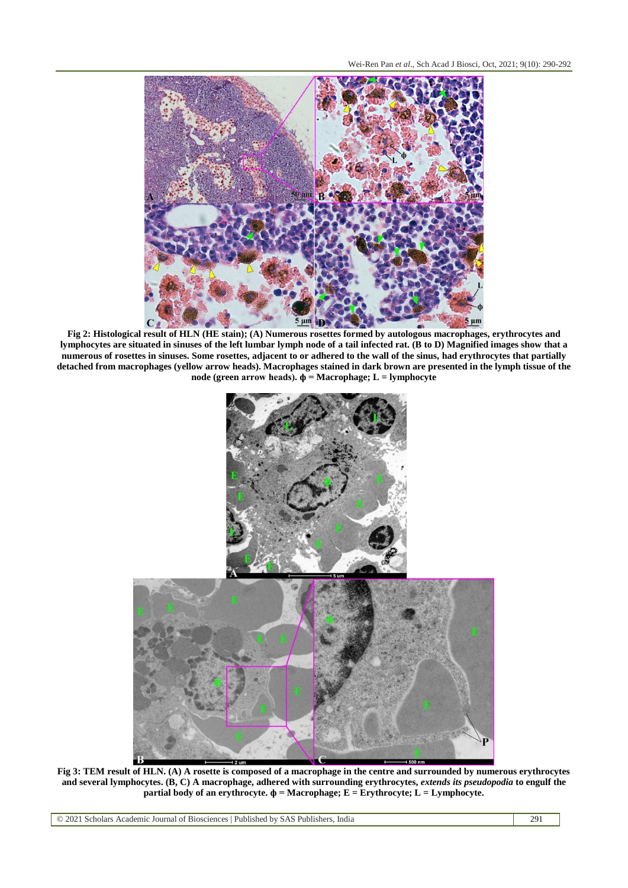

**Fig 2: Histological result of HLN (HE stain); (A) Numerous rosettes formed by autologous macrophages, erythrocytes and lymphocytes are situated in sinuses of the left lumbar lymph node of a tail infected rat. (B to D) Magnified images show that a numerous of rosettes in sinuses. Some rosettes, adjacent to or adhered to the wall of the sinus, had erythrocytes that partially detached from macrophages (yellow arrow heads). Macrophages stained in dark brown are presented in the lymph tissue of the node (green arrow heads). ф = Macrophage; L = lymphocyte**



**Fig 3: TEM result of HLN. (A) A rosette is composed of a macrophage in the centre and surrounded by numerous erythrocytes and several lymphocytes. (B, C) A macrophage, adhered with surrounding erythrocytes,** *extends its pseudopodia* **to engulf the partial body of an erythrocyte. ф = Macrophage; E = Erythrocyte; L = Lymphocyte.**